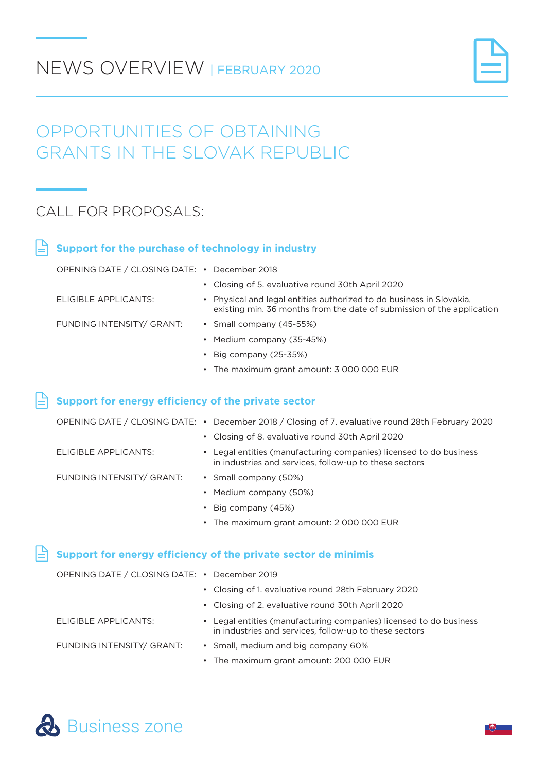## NEWS OVERVIEW | FEBRUARY 2020



## OPPORTUNITIES OF OBTAINING GRANTS IN THE SLOVAK REPUBLIC

### CALL FOR PROPOSALS:

| Support for the purchase of technology in industry  |                                                                                                                                                |  |  |
|-----------------------------------------------------|------------------------------------------------------------------------------------------------------------------------------------------------|--|--|
| OPENING DATE / CLOSING DATE: • December 2018        |                                                                                                                                                |  |  |
|                                                     | • Closing of 5. evaluative round 30th April 2020                                                                                               |  |  |
| ELIGIBLE APPLICANTS:                                | • Physical and legal entities authorized to do business in Slovakia.<br>existing min. 36 months from the date of submission of the application |  |  |
| FUNDING INTENSITY/ GRANT:                           | • Small company (45-55%)                                                                                                                       |  |  |
|                                                     | • Medium company (35-45%)                                                                                                                      |  |  |
|                                                     | • Big company $(25-35%)$                                                                                                                       |  |  |
|                                                     | • The maximum grant amount: 3 000 000 EUR                                                                                                      |  |  |
|                                                     |                                                                                                                                                |  |  |
| Support for energy efficiency of the private sector |                                                                                                                                                |  |  |

|  | OPENING DATE / CLOSING DATE: • December 2018 / Closing of 7. evaluative round 28th February 2020 |
|--|--------------------------------------------------------------------------------------------------|
|  | • Closing of 8. evaluative round 30th April 2020                                                 |

• Legal entities (manufacturing companies) licensed to do business in industries and services, follow-up to these sectors

FUNDING INTENSITY/ GRANT:

ELIGIBLE APPLICANTS:

- Small company (50%)
- Medium company (50%)
- Big company (45%)
- The maximum grant amount: 2 000 000 EUR

#### **Support for energy efficiency of the private sector de minimis**

| OPENING DATE / CLOSING DATE: • December 2019 |                                                     |
|----------------------------------------------|-----------------------------------------------------|
|                                              | • Closing of 1. evaluative round 28th February 2020 |

• Closing of 2. evaluative round 30th April 2020

ELIGIBLE APPLICANTS:

• Legal entities (manufacturing companies) licensed to do business in industries and services, follow-up to these sectors

FUNDING INTENSITY/ GRANT:

- Small, medium and big company 60%
- The maximum grant amount: 200 000 EUR

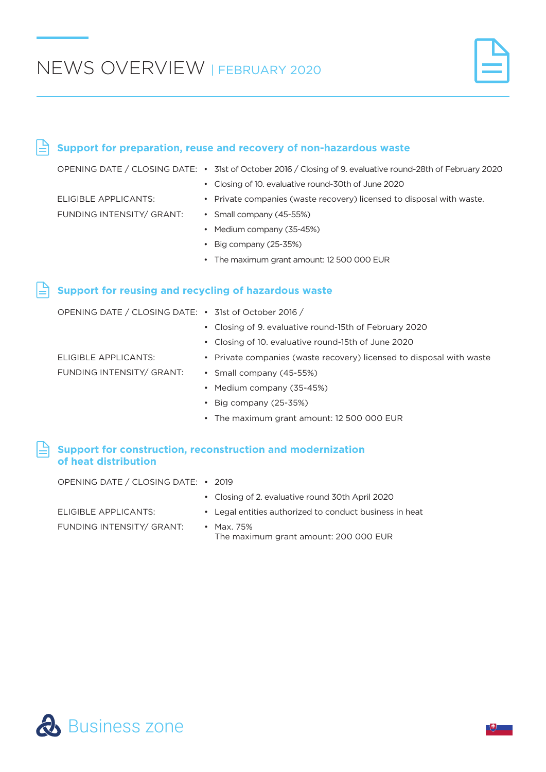$\stackrel{\triangle}{=}$  Support for preparation, reuse and recovery of non-hazardous waste

#### OPENING DATE / CLOSING DATE: • 31st of October 2016 / Closing of 9. evaluative round-28th of February 2020 ELIGIBLE APPLICANTS: FUNDING INTENSITY/ GRANT: • Closing of 10. evaluative round-30th of June 2020 • Private companies (waste recovery) licensed to disposal with waste. • Small company (45-55%) • Medium company (35-45%) • Big company (25-35%) • The maximum grant amount: 12 500 000 EUR **Support for construction, reconstruction and modernization of heat distribution Support for reusing and recycling of hazardous waste** OPENING DATE / CLOSING DATE: • 31st of October 2016 / ELIGIBLE APPLICANTS: FUNDING INTENSITY/ GRANT: • Closing of 9. evaluative round-15th of February 2020 • Closing of 10. evaluative round-15th of June 2020 • Private companies (waste recovery) licensed to disposal with waste • Small company (45-55%) • Medium company (35-45%) • Big company (25-35%) • The maximum grant amount: 12 500 000 EUR

| OPENING DATE / CLOSING DATE: • 2019 |                                                         |
|-------------------------------------|---------------------------------------------------------|
|                                     | • Closing of 2. evaluative round 30th April 2020        |
| ELIGIBLE APPLICANTS:                | • Legal entities authorized to conduct business in heat |
| FUNDING INTENSITY/ GRANT:           | • Max. 75%<br>The maximum grant amount: 200 000 EUR     |

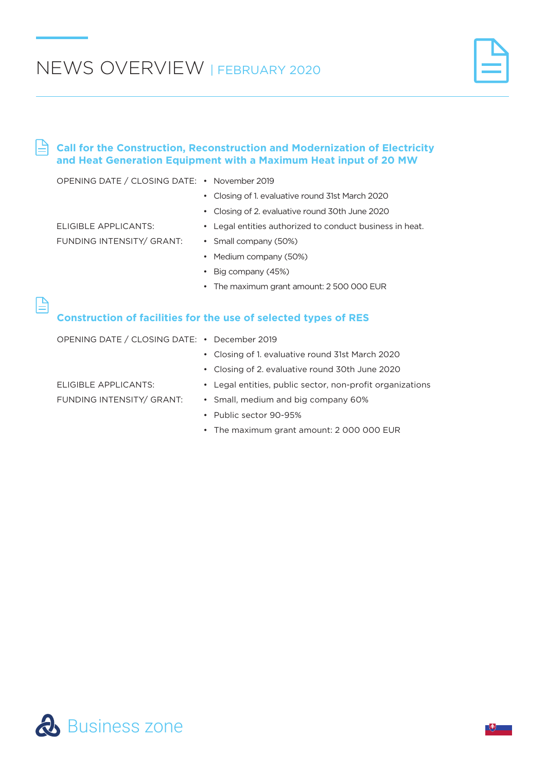#### $\mathbb P$ **Call for the Construction, Reconstruction and Modernization of Electricity and Heat Generation Equipment with a Maximum Heat input of 20 MW**

| OPENING DATE / CLOSING DATE: • November 2019                           |                                                             |  |  |  |
|------------------------------------------------------------------------|-------------------------------------------------------------|--|--|--|
|                                                                        | Closing of 1. evaluative round 31st March 2020<br>$\bullet$ |  |  |  |
|                                                                        | Closing of 2. evaluative round 30th June 2020<br>$\bullet$  |  |  |  |
| ELIGIBLE APPLICANTS:                                                   | • Legal entities authorized to conduct business in heat.    |  |  |  |
| FUNDING INTENSITY/ GRANT:                                              | • Small company (50%)                                       |  |  |  |
|                                                                        | Medium company (50%)<br>$\bullet$                           |  |  |  |
|                                                                        | Big company (45%)<br>$\bullet$                              |  |  |  |
|                                                                        | The maximum grant amount: 2 500 000 EUR<br>$\bullet$        |  |  |  |
|                                                                        |                                                             |  |  |  |
| <b>Construction of facilities for the use of selected types of RES</b> |                                                             |  |  |  |
| OPENING DATE / CLOSING DATE: • December 2019                           |                                                             |  |  |  |
|                                                                        | • Closing of 1. evaluative round 31st March 2020            |  |  |  |
|                                                                        | Closing of 2. evaluative round 30th June 2020<br>٠          |  |  |  |

• Legal entities, public sector, non-profit organizations • Small, medium and big company 60%

FUNDING INTENSITY/ GRANT:

ELIGIBLE APPLICANTS:

- Public sector 90-95%
- The maximum grant amount: 2 000 000 EUR

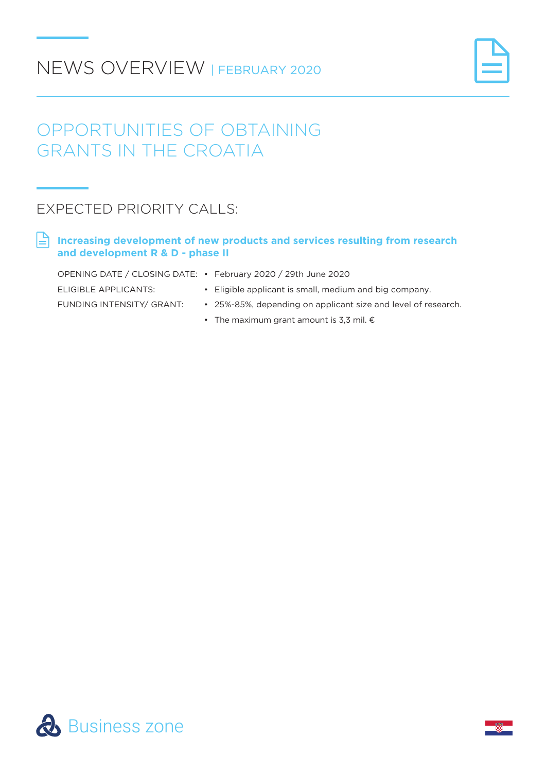# NEWS OVERVIEW | FEBRUARY 2020



## OPPORTUNITIES OF OBTAINING GRANTS IN THE CROATIA

## EXPECTED PRIORITY CALLS:

**Increasing development of new products and services resulting from research and development R & D - phase II** 

| OPENING DATE / CLOSING DATE: • February 2020 / 29th June 2020 |                                                               |
|---------------------------------------------------------------|---------------------------------------------------------------|
| ELIGIBLE APPLICANTS:                                          | • Eligible applicant is small, medium and big company.        |
| FUNDING INTENSITY/ GRANT:                                     | • 25%-85%, depending on applicant size and level of research. |

• The maximum grant amount is 3.3 mil.  $\epsilon$